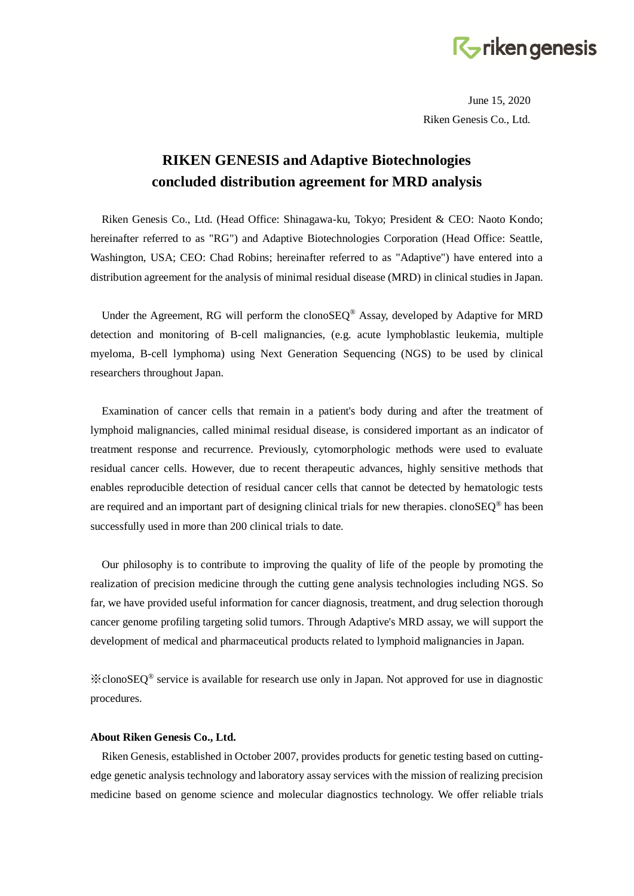

June 15, 2020 Riken Genesis Co., Ltd.

## **RIKEN GENESIS and Adaptive Biotechnologies concluded distribution agreement for MRD analysis**

Riken Genesis Co., Ltd. (Head Office: Shinagawa-ku, Tokyo; President & CEO: Naoto Kondo; hereinafter referred to as "RG") and Adaptive Biotechnologies Corporation (Head Office: Seattle, Washington, USA; CEO: Chad Robins; hereinafter referred to as "Adaptive") have entered into a distribution agreement for the analysis of minimal residual disease (MRD) in clinical studies in Japan.

Under the Agreement, RG will perform the clonoSEQ® Assay, developed by Adaptive for MRD detection and monitoring of B-cell malignancies, (e.g. acute lymphoblastic leukemia, multiple myeloma, B-cell lymphoma) using Next Generation Sequencing (NGS) to be used by clinical researchers throughout Japan.

Examination of cancer cells that remain in a patient's body during and after the treatment of lymphoid malignancies, called minimal residual disease, is considered important as an indicator of treatment response and recurrence. Previously, cytomorphologic methods were used to evaluate residual cancer cells. However, due to recent therapeutic advances, highly sensitive methods that enables reproducible detection of residual cancer cells that cannot be detected by hematologic tests are required and an important part of designing clinical trials for new therapies. clonoSEQ<sup>®</sup> has been successfully used in more than 200 clinical trials to date.

Our philosophy is to contribute to improving the quality of life of the people by promoting the realization of precision medicine through the cutting gene analysis technologies including NGS. So far, we have provided useful information for cancer diagnosis, treatment, and drug selection thorough cancer genome profiling targeting solid tumors. Through Adaptive's MRD assay, we will support the development of medical and pharmaceutical products related to lymphoid malignancies in Japan.

※clonoSEQ® service is available for research use only in Japan. Not approved for use in diagnostic procedures.

## **About Riken Genesis Co., Ltd.**

Riken Genesis, established in October 2007, provides products for genetic testing based on cuttingedge genetic analysis technology and laboratory assay services with the mission of realizing precision medicine based on genome science and molecular diagnostics technology. We offer reliable trials